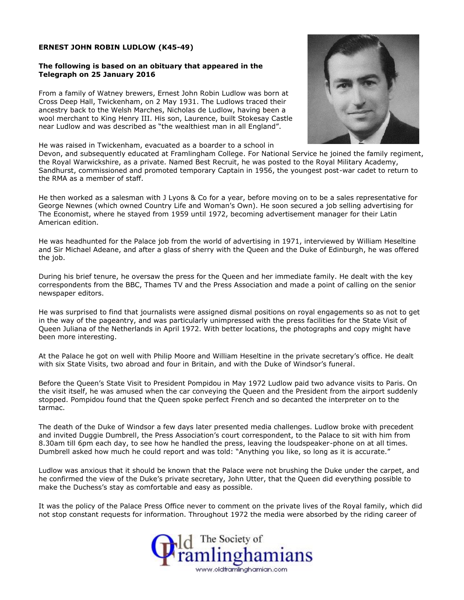## **ERNEST JOHN ROBIN LUDLOW (K45-49)**

## **The following is based on an obituary that appeared in the Telegraph on 25 January 2016**

From a family of Watney brewers, Ernest John Robin Ludlow was born at Cross Deep Hall, Twickenham, on 2 May 1931. The Ludlows traced their ancestry back to the Welsh Marches, Nicholas de Ludlow, having been a wool merchant to King Henry III. His son, Laurence, built Stokesay Castle near Ludlow and was described as "the wealthiest man in all England".

He was raised in Twickenham, evacuated as a boarder to a school in



Devon, and subsequently educated at Framlingham College. For National Service he joined the family regiment, the Royal Warwickshire, as a private. Named Best Recruit, he was posted to the Royal Military Academy, Sandhurst, commissioned and promoted temporary Captain in 1956, the youngest post-war cadet to return to the RMA as a member of staff.

He then worked as a salesman with J Lyons & Co for a year, before moving on to be a sales representative for George Newnes (which owned Country Life and Woman's Own). He soon secured a job selling advertising for The Economist, where he stayed from 1959 until 1972, becoming advertisement manager for their Latin American edition.

He was headhunted for the Palace job from the world of advertising in 1971, interviewed by William Heseltine and Sir Michael Adeane, and after a glass of sherry with the Queen and the Duke of Edinburgh, he was offered the job.

During his brief tenure, he oversaw the press for the Queen and her immediate family. He dealt with the key correspondents from the BBC, Thames TV and the Press Association and made a point of calling on the senior newspaper editors.

He was surprised to find that journalists were assigned dismal positions on royal engagements so as not to get in the way of the pageantry, and was particularly unimpressed with the press facilities for the State Visit of Queen Juliana of the Netherlands in April 1972. With better locations, the photographs and copy might have been more interesting.

At the Palace he got on well with Philip Moore and William Heseltine in the private secretary's office. He dealt with six State Visits, two abroad and four in Britain, and with the Duke of Windsor's funeral.

Before the Queen's State Visit to President Pompidou in May 1972 Ludlow paid two advance visits to Paris. On the visit itself, he was amused when the car conveying the Queen and the President from the airport suddenly stopped. Pompidou found that the Queen spoke perfect French and so decanted the interpreter on to the tarmac.

The death of the Duke of Windsor a few days later presented media challenges. Ludlow broke with precedent and invited Duggie Dumbrell, the Press Association's court correspondent, to the Palace to sit with him from 8.30am till 6pm each day, to see how he handled the press, leaving the loudspeaker-phone on at all times. Dumbrell asked how much he could report and was told: "Anything you like, so long as it is accurate."

Ludlow was anxious that it should be known that the Palace were not brushing the Duke under the carpet, and he confirmed the view of the Duke's private secretary, John Utter, that the Queen did everything possible to make the Duchess's stay as comfortable and easy as possible.

It was the policy of the Palace Press Office never to comment on the private lives of the Royal family, which did not stop constant requests for information. Throughout 1972 the media were absorbed by the riding career of